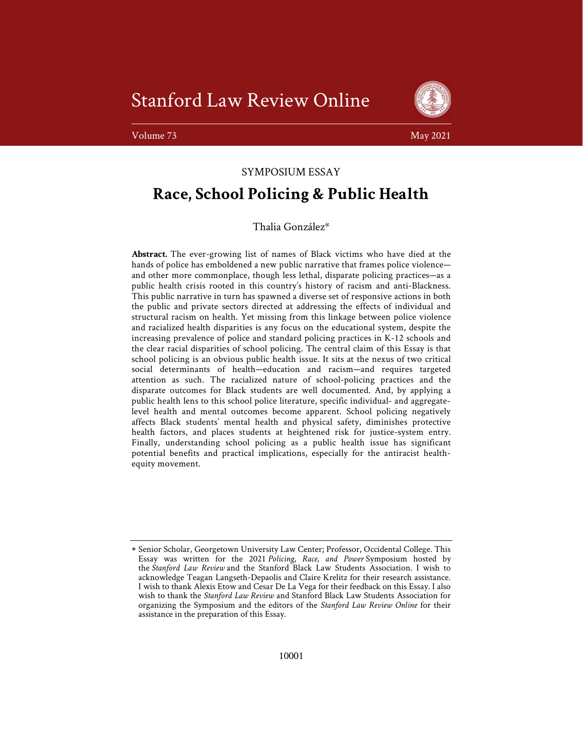Stanford Law Review Online



Volume 73 May 2021 **May 2021** May 2021 **May 2021** 

# SYMPOSIUM ESSAY

# Race, School Policing & Public Health

Thalia González\*

Abstract. The ever-growing list of names of Black victims who have died at the hands of police has emboldened a new public narrative that frames police violence and other more commonplace, though less lethal, disparate policing practices—as a public health crisis rooted in this country's history of racism and anti-Blackness. This public narrative in turn has spawned a diverse set of responsive actions in both the public and private sectors directed at addressing the effects of individual and structural racism on health. Yet missing from this linkage between police violence and racialized health disparities is any focus on the educational system, despite the increasing prevalence of police and standard policing practices in K-12 schools and the clear racial disparities of school policing. The central claim of this Essay is that school policing is an obvious public health issue. It sits at the nexus of two critical social determinants of health—education and racism—and requires targeted attention as such. The racialized nature of school-policing practices and the disparate outcomes for Black students are well documented. And, by applying a public health lens to this school police literature, specific individual- and aggregatelevel health and mental outcomes become apparent. School policing negatively affects Black students' mental health and physical safety, diminishes protective health factors, and places students at heightened risk for justice-system entry. Finally, understanding school policing as a public health issue has significant potential benefits and practical implications, especially for the antiracist healthequity movement.

Senior Scholar, Georgetown University Law Center; Professor, Occidental College. This Essay was written for the 2021 Policing, Race, and Power Symposium hosted by the Stanford Law Review and the Stanford Black Law Students Association. I wish to acknowledge Teagan Langseth-Depaolis and Claire Krelitz for their research assistance. I wish to thank Alexis Etow and Cesar De La Vega for their feedback on this Essay. I also wish to thank the Stanford Law Review and Stanford Black Law Students Association for organizing the Symposium and the editors of the Stanford Law Review Online for their assistance in the preparation of this Essay.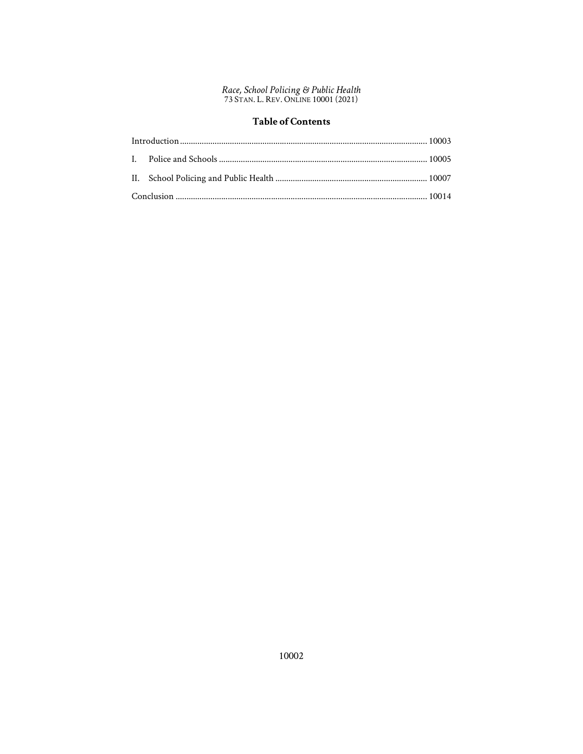# **Table of Contents**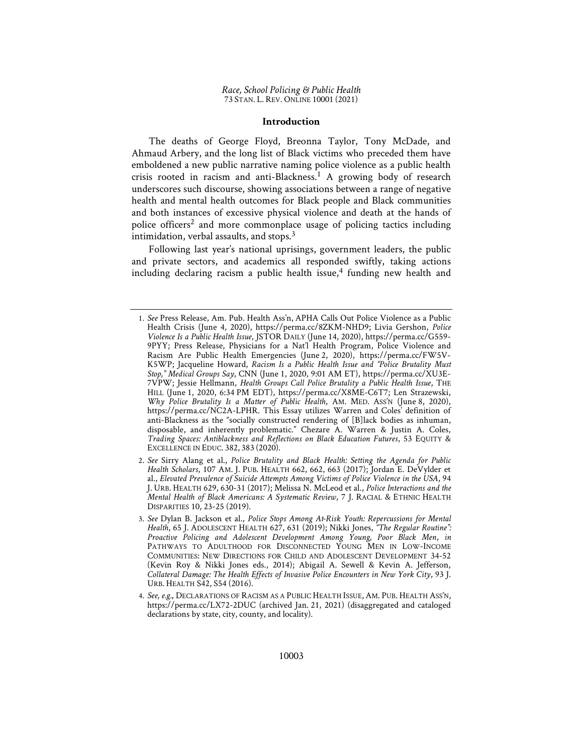## Introduction

The deaths of George Floyd, Breonna Taylor, Tony McDade, and Ahmaud Arbery, and the long list of Black victims who preceded them have emboldened a new public narrative naming police violence as a public health crisis rooted in racism and anti-Blackness.<sup>1</sup> A growing body of research underscores such discourse, showing associations between a range of negative health and mental health outcomes for Black people and Black communities and both instances of excessive physical violence and death at the hands of police officers<sup>2</sup> and more commonplace usage of policing tactics including intimidation, verbal assaults, and stops. $3$ 

Following last year's national uprisings, government leaders, the public and private sectors, and academics all responded swiftly, taking actions including declaring racism a public health issue,<sup>4</sup> funding new health and

<sup>1</sup>. See Press Release, Am. Pub. Health Ass'n, APHA Calls Out Police Violence as a Public Health Crisis (June 4, 2020), https://perma.cc/8ZKM-NHD9; Livia Gershon, Police Violence Is a Public Health Issue, JSTOR DAILY (June 14, 2020), https://perma.cc/G559- 9PYY; Press Release, Physicians for a Nat'l Health Program, Police Violence and Racism Are Public Health Emergencies (June 2, 2020), https://perma.cc/FW5V-K5WP; Jacqueline Howard, Racism Is a Public Health Issue and "Police Brutality Must Stop," Medical Groups Say, CNN (June 1, 2020, 9:01 AM ET), https://perma.cc/XU3E-7VPW; Jessie Hellmann, Health Groups Call Police Brutality a Public Health Issue, THE HILL (June 1, 2020, 6:34 PM EDT), https://perma.cc/X8ME-C6T7; Len Strazewski, Why Police Brutality Is a Matter of Public Health, AM. MED. ASS'N (June 8, 2020), https://perma.cc/NC2A-LPHR. This Essay utilizes Warren and Coles' definition of anti-Blackness as the "socially constructed rendering of [B]lack bodies as inhuman, disposable, and inherently problematic." Chezare A. Warren & Justin A. Coles, Trading Spaces: Antiblackness and Reflections on Black Education Futures, 53 EQUITY & EXCELLENCE IN EDUC. 382, 383 (2020).

<sup>2</sup>. See Sirry Alang et al., Police Brutality and Black Health: Setting the Agenda for Public Health Scholars, 107 AM. J. PUB. HEALTH 662, 662, 663 (2017); Jordan E. DeVylder et al., Elevated Prevalence of Suicide Attempts Among Victims of Police Violence in the USA, 94 J. URB. HEALTH 629, 630-31 (2017); Melissa N. McLeod et al., Police Interactions and the Mental Health of Black Americans: A Systematic Review, 7 J. RACIAL & ETHNIC HEALTH DISPARITIES 10, 23-25 (2019).

<sup>3</sup>. See Dylan B. Jackson et al., Police Stops Among At-Risk Youth: Repercussions for Mental Health, 65 J. ADOLESCENT HEALTH 627, 631 (2019); Nikki Jones, "The Regular Routine": Proactive Policing and Adolescent Development Among Young, Poor Black Men, in PATHWAYS TO ADULTHOOD FOR DISCONNECTED YOUNG MEN IN LOW-INCOME COMMUNITIES: NEW DIRECTIONS FOR CHILD AND ADOLESCENT DEVELOPMENT 34-52 (Kevin Roy & Nikki Jones eds., 2014); Abigail A. Sewell & Kevin A. Jefferson, Collateral Damage: The Health Effects of Invasive Police Encounters in New York City, 93 J. URB. HEALTH S42, S54 (2016).

<sup>4</sup>. See, e.g., DECLARATIONS OF RACISM AS A PUBLIC HEALTH ISSUE, AM. PUB. HEALTH ASS'N, https://perma.cc/LX72-2DUC (archived Jan. 21, 2021) (disaggregated and cataloged declarations by state, city, county, and locality).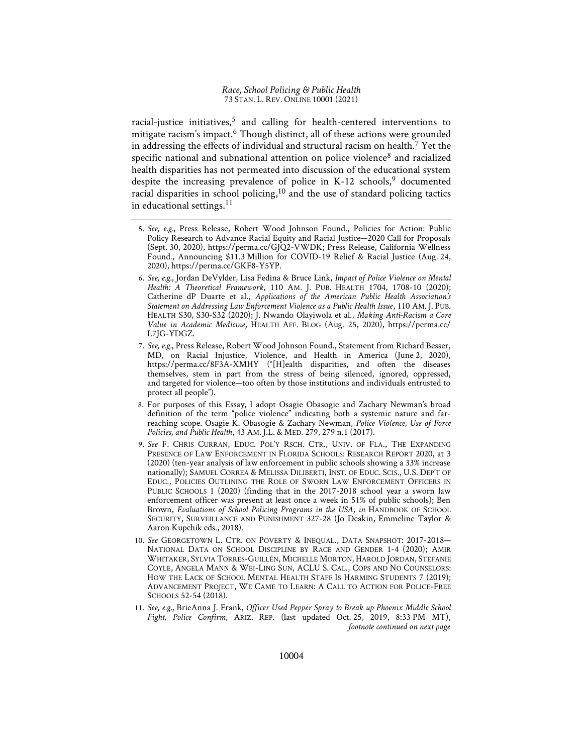racial-justice initiatives,<sup>5</sup> and calling for health-centered interventions to mitigate racism's impact.<sup>6</sup> Though distinct, all of these actions were grounded in addressing the effects of individual and structural racism on health.<sup>7</sup> Yet the specific national and subnational attention on police violence<sup>8</sup> and racialized health disparities has not permeated into discussion of the educational system despite the increasing prevalence of police in K-12 schools,<sup>9</sup> documented racial disparities in school policing, $10$  and the use of standard policing tactics in educational settings. $11$ 

- 6. See, e.g., Jordan DeVylder, Lisa Fedina & Bruce Link, Impact of Police Violence on Mental Health: A Theoretical Framework, 110 AM. J. PUB. HEALTH 1704, 1708-10 (2020); Catherine dP Duarte et al., Applications of the American Public Health Association's Statement on Addressing Law Enforcement Violence as a Public Health Issue, 110 AM. J. PUB. HEALTH S30, S30-S32 (2020); J. Nwando Olayiwola et al., Making Anti-Racism a Core Value in Academic Medicine, HEALTH AFF. BLOG (Aug. 25, 2020), https://perma.cc/ L7JG-YDGZ.
- 7. See, e.g., Press Release, Robert Wood Johnson Found., Statement from Richard Besser, MD, on Racial Injustice, Violence, and Health in America (June 2, 2020), https://perma.cc/8F3A-XMHY ("[H]ealth disparities, and often the diseases themselves, stem in part from the stress of being silenced, ignored, oppressed, and targeted for violence—too often by those institutions and individuals entrusted to protect all people").
- 8. For purposes of this Essay, I adopt Osagie Obasogie and Zachary Newman's broad definition of the term "police violence" indicating both a systemic nature and farreaching scope. Osagie K. Obasogie & Zachary Newman, Police Violence, Use of Force Policies, and Public Health, 43 AM. J.L. & MED. 279, 279 n.1 (2017).
- 9. See F. CHRIS CURRAN, EDUC. POL'Y RSCH. CTR., UNIV. OF FLA., THE EXPANDING PRESENCE OF LAW ENFORCEMENT IN FLORIDA SCHOOLS: RESEARCH REPORT 2020, at 3 (2020) (ten-year analysis of law enforcement in public schools showing a 33% increase nationally); SAMUEL CORREA & MELISSA DILIBERTI, INST. OF EDUC. SCIS., U.S. DEP'T OF EDUC., POLICIES OUTLINING THE ROLE OF SWORN LAW ENFORCEMENT OFFICERS IN PUBLIC SCHOOLS 1 (2020) (finding that in the 2017-2018 school year a sworn law enforcement officer was present at least once a week in 51% of public schools); Ben Brown, Evaluations of School Policing Programs in the USA, in HANDBOOK OF SCHOOL SECURITY, SURVEILLANCE AND PUNISHMENT 327-28 (Jo Deakin, Emmeline Taylor & Aaron Kupchik eds., 2018).
- 10. See GEORGETOWN L. CTR. ON POVERTY & INEQUAL., DATA SNAPSHOT: 2017-2018— NATIONAL DATA ON SCHOOL DISCIPLINE BY RACE AND GENDER 1-4 (2020); AMIR WHITAKER, SYLVIA TORRES-GUILLÉN, MICHELLE MORTON, HAROLD JORDAN, STEFANIE COYLE, ANGELA MANN & WEI-LING SUN, ACLU S. CAL., COPS AND NO COUNSELORS: HOW THE LACK OF SCHOOL MENTAL HEALTH STAFF IS HARMING STUDENTS 7 (2019); ADVANCEMENT PROJECT, WE CAME TO LEARN: A CALL TO ACTION FOR POLICE-FREE SCHOOLS 52-54 (2018).
- 11. See, e.g., BrieAnna J. Frank, Officer Used Pepper Spray to Break up Phoenix Middle School Fight, Police Confirm, ARIZ. REP. (last updated Oct. 25, 2019, 8:33 PM MT), footnote continued on next page

<sup>5</sup>. See, e.g., Press Release, Robert Wood Johnson Found., Policies for Action: Public Policy Research to Advance Racial Equity and Racial Justice—2020 Call for Proposals (Sept. 30, 2020), https://perma.cc/GJQ2-VWDK; Press Release, California Wellness Found., Announcing \$11.3 Million for COVID-19 Relief & Racial Justice (Aug. 24, 2020), https://perma.cc/GKF8-Y5YP.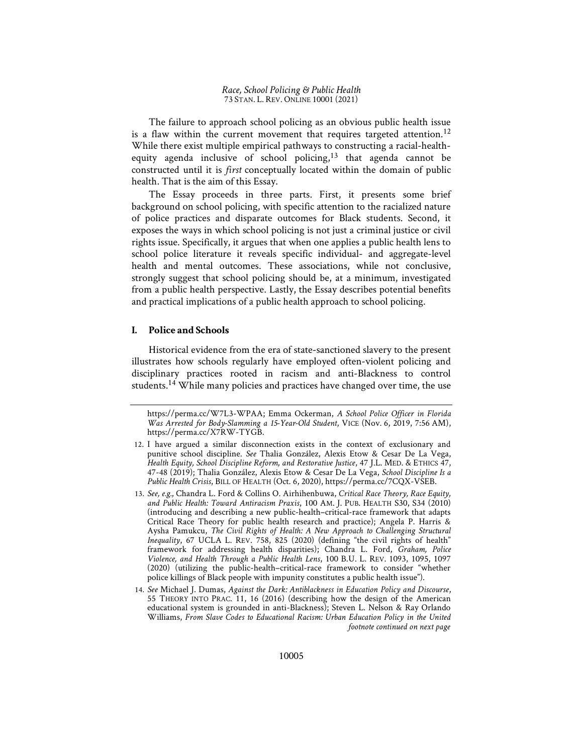The failure to approach school policing as an obvious public health issue is a flaw within the current movement that requires targeted attention.<sup>12</sup> While there exist multiple empirical pathways to constructing a racial-healthequity agenda inclusive of school policing, $13$  that agenda cannot be constructed until it is first conceptually located within the domain of public health. That is the aim of this Essay.

The Essay proceeds in three parts. First, it presents some brief background on school policing, with specific attention to the racialized nature of police practices and disparate outcomes for Black students. Second, it exposes the ways in which school policing is not just a criminal justice or civil rights issue. Specifically, it argues that when one applies a public health lens to school police literature it reveals specific individual- and aggregate-level health and mental outcomes. These associations, while not conclusive, strongly suggest that school policing should be, at a minimum, investigated from a public health perspective. Lastly, the Essay describes potential benefits and practical implications of a public health approach to school policing.

## I. Police and Schools

Historical evidence from the era of state-sanctioned slavery to the present illustrates how schools regularly have employed often-violent policing and disciplinary practices rooted in racism and anti-Blackness to control students.<sup>14</sup> While many policies and practices have changed over time, the use

https://perma.cc/W7L3-WPAA; Emma Ockerman, A School Police Officer in Florida Was Arrested for Body-Slamming a 15-Year-Old Student, VICE (Nov. 6, 2019, 7:56 AM), https://perma.cc/X7RW-TYGB.

<sup>12</sup>. I have argued a similar disconnection exists in the context of exclusionary and punitive school discipline. See Thalia González, Alexis Etow & Cesar De La Vega, Health Equity, School Discipline Reform, and Restorative Justice, 47 J.L. MED. & ETHICS 47, 47-48 (2019); Thalia González, Alexis Etow & Cesar De La Vega, School Discipline Is a Public Health Crisis, BILL OF HEALTH (Oct. 6, 2020), https://perma.cc/7CQX-VSEB.

<sup>13</sup>. See, e.g., Chandra L. Ford & Collins O. Airhihenbuwa, Critical Race Theory, Race Equity, and Public Health: Toward Antiracism Praxis, 100 AM. J. PUB. HEALTH S30, S34 (2010) (introducing and describing a new public-health–critical-race framework that adapts Critical Race Theory for public health research and practice); Angela P. Harris & Aysha Pamukcu, The Civil Rights of Health: A New Approach to Challenging Structural Inequality, 67 UCLA L. REV. 758, 825 (2020) (defining "the civil rights of health" framework for addressing health disparities); Chandra L. Ford, Graham, Police Violence, and Health Through a Public Health Lens, 100 B.U. L. REV. 1093, 1095, 1097 (2020) (utilizing the public-health–critical-race framework to consider "whether police killings of Black people with impunity constitutes a public health issue").

<sup>14</sup>. See Michael J. Dumas, Against the Dark: Antiblackness in Education Policy and Discourse, 55 THEORY INTO PRAC. 11, 16 (2016) (describing how the design of the American educational system is grounded in anti-Blackness); Steven L. Nelson & Ray Orlando Williams, From Slave Codes to Educational Racism: Urban Education Policy in the United footnote continued on next page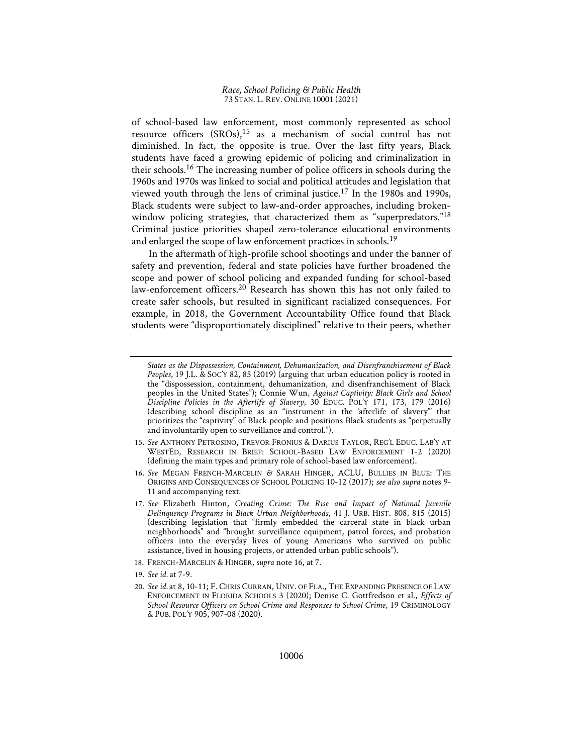of school-based law enforcement, most commonly represented as school resource officers  $(SROs)$ ,<sup>15</sup> as a mechanism of social control has not diminished. In fact, the opposite is true. Over the last fifty years, Black students have faced a growing epidemic of policing and criminalization in their schools.16 The increasing number of police officers in schools during the 1960s and 1970s was linked to social and political attitudes and legislation that viewed youth through the lens of criminal justice.17 In the 1980s and 1990s, Black students were subject to law-and-order approaches, including brokenwindow policing strategies, that characterized them as "superpredators."<sup>18</sup> Criminal justice priorities shaped zero-tolerance educational environments and enlarged the scope of law enforcement practices in schools.<sup>19</sup>

In the aftermath of high-profile school shootings and under the banner of safety and prevention, federal and state policies have further broadened the scope and power of school policing and expanded funding for school-based law-enforcement officers.<sup>20</sup> Research has shown this has not only failed to create safer schools, but resulted in significant racialized consequences. For example, in 2018, the Government Accountability Office found that Black students were "disproportionately disciplined" relative to their peers, whether

- 15. See ANTHONY PETROSINO, TREVOR FRONIUS & DARIUS TAYLOR, REG'L EDUC. LAB'Y AT WESTED, RESEARCH IN BRIEF: SCHOOL-BASED LAW ENFORCEMENT 1-2 (2020) (defining the main types and primary role of school-based law enforcement).
- 16. See MEGAN FRENCH-MARCELIN & SARAH HINGER, ACLU, BULLIES IN BLUE: THE ORIGINS AND CONSEQUENCES OF SCHOOL POLICING 10-12 (2017); see also supra notes 9-11 and accompanying text.
- 17. See Elizabeth Hinton, Creating Crime: The Rise and Impact of National Juvenile Delinquency Programs in Black Urban Neighborhoods, 41 J. URB. HIST. 808, 815 (2015) (describing legislation that "firmly embedded the carceral state in black urban neighborhoods" and "brought surveillance equipment, patrol forces, and probation officers into the everyday lives of young Americans who survived on public assistance, lived in housing projects, or attended urban public schools").
- 18. FRENCH-MARCELIN & HINGER, supra note 16, at 7.
- 19. See id. at 7-9.
- 20. See id. at 8, 10-11; F. CHRIS CURRAN, UNIV. OF FLA., THE EXPANDING PRESENCE OF LAW ENFORCEMENT IN FLORIDA SCHOOLS 3 (2020); Denise C. Gottfredson et al., Effects of School Resource Officers on School Crime and Responses to School Crime, 19 CRIMINOLOGY & PUB. POL'Y 905, 907-08 (2020).

States as the Dispossession, Containment, Dehumanization, and Disenfranchisement of Black Peoples, 19 J.L. & SOC'Y 82, 85 (2019) (arguing that urban education policy is rooted in the "dispossession, containment, dehumanization, and disenfranchisement of Black peoples in the United States"); Connie Wun, Against Captivity: Black Girls and School Discipline Policies in the Afterlife of Slavery, 30 EDUC. POL'Y 171, 173, 179 (2016) (describing school discipline as an "instrument in the 'afterlife of slavery'" that prioritizes the "captivity" of Black people and positions Black students as "perpetually and involuntarily open to surveillance and control.").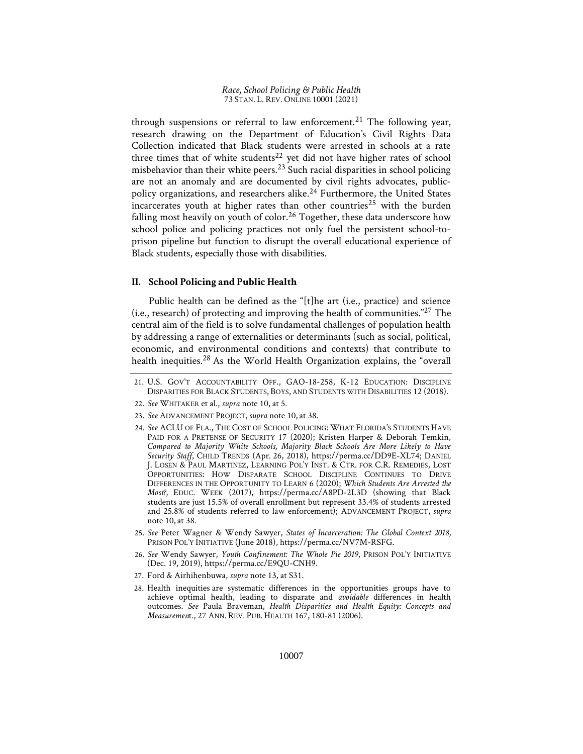through suspensions or referral to law enforcement.<sup>21</sup> The following year, research drawing on the Department of Education's Civil Rights Data Collection indicated that Black students were arrested in schools at a rate three times that of white students<sup>22</sup> yet did not have higher rates of school misbehavior than their white peers.<sup>23</sup> Such racial disparities in school policing are not an anomaly and are documented by civil rights advocates, publicpolicy organizations, and researchers alike.<sup>24</sup> Furthermore, the United States incarcerates youth at higher rates than other countries<sup>25</sup> with the burden falling most heavily on youth of color.<sup>26</sup> Together, these data underscore how school police and policing practices not only fuel the persistent school-toprison pipeline but function to disrupt the overall educational experience of Black students, especially those with disabilities.

## II. School Policing and Public Health

Public health can be defined as the "[t]he art (i.e., practice) and science (i.e., research) of protecting and improving the health of communities."27 The central aim of the field is to solve fundamental challenges of population health by addressing a range of externalities or determinants (such as social, political, economic, and environmental conditions and contexts) that contribute to health inequities.<sup>28</sup> As the World Health Organization explains, the "overall"

- 24. See ACLU OF FLA., THE COST OF SCHOOL POLICING: WHAT FLORIDA'S STUDENTS HAVE PAID FOR A PRETENSE OF SECURITY 17 (2020); Kristen Harper & Deborah Temkin, Compared to Majority White Schools, Majority Black Schools Are More Likely to Have Security Staff, CHILD TRENDS (Apr. 26, 2018), https://perma.cc/DD9E-XL74; DANIEL J. LOSEN & PAUL MARTINEZ, LEARNING POL'Y INST. & CTR. FOR C.R. REMEDIES, LOST OPPORTUNITIES: HOW DISPARATE SCHOOL DISCIPLINE CONTINUES TO DRIVE DIFFERENCES IN THE OPPORTUNITY TO LEARN 6 (2020); Which Students Are Arrested the Most?, EDUC. WEEK (2017), https://perma.cc/A8PD-2L3D (showing that Black students are just 15.5% of overall enrollment but represent 33.4% of students arrested and 25.8% of students referred to law enforcement); ADVANCEMENT PROJECT, supra note 10, at 38.
- 25. See Peter Wagner & Wendy Sawyer, States of Incarceration: The Global Context 2018, PRISON POL'Y INITIATIVE (June 2018), https://perma.cc/NV7M-RSFG.
- 26. See Wendy Sawyer, Youth Confinement: The Whole Pie 2019, PRISON POL'Y INITIATIVE (Dec. 19, 2019), https://perma.cc/E9QU-CNH9.
- 27. Ford & Airhihenbuwa, supra note 13, at S31.
- 28. Health inequities are systematic differences in the opportunities groups have to achieve optimal health, leading to disparate and avoidable differences in health outcomes. See Paula Braveman, Health Disparities and Health Equity: Concepts and Measurement., 27 ANN. REV. PUB. HEALTH 167, 180-81 (2006).

<sup>21</sup>. U.S. GOV'T ACCOUNTABILITY OFF., GAO-18-258, K-12 EDUCATION: DISCIPLINE DISPARITIES FOR BLACK STUDENTS, BOYS, AND STUDENTS WITH DISABILITIES 12 (2018).

<sup>22</sup>. See WHITAKER et al., supra note 10, at 5.

<sup>23</sup>. See ADVANCEMENT PROJECT, supra note 10, at 38.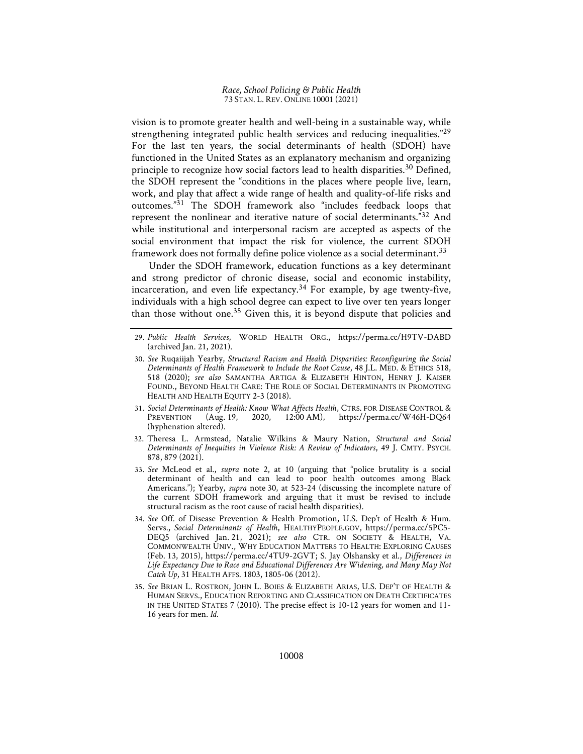vision is to promote greater health and well-being in a sustainable way, while strengthening integrated public health services and reducing inequalities."<sup>29</sup> For the last ten years, the social determinants of health (SDOH) have functioned in the United States as an explanatory mechanism and organizing principle to recognize how social factors lead to health disparities.<sup>30</sup> Defined, the SDOH represent the "conditions in the places where people live, learn, work, and play that affect a wide range of health and quality-of-life risks and outcomes."31 The SDOH framework also "includes feedback loops that represent the nonlinear and iterative nature of social determinants."32 And while institutional and interpersonal racism are accepted as aspects of the social environment that impact the risk for violence, the current SDOH framework does not formally define police violence as a social determinant.<sup>33</sup>

Under the SDOH framework, education functions as a key determinant and strong predictor of chronic disease, social and economic instability, incarceration, and even life expectancy.<sup>34</sup> For example, by age twenty-five, individuals with a high school degree can expect to live over ten years longer than those without one.<sup>35</sup> Given this, it is beyond dispute that policies and

- 31. Social Determinants of Health: Know What Affects Health, CTRS. FOR DISEASE CONTROL &<br>PREVENTION (Aug. 19, 2020, 12:00 AM), https://perma.cc/W46H-DQ64 https://perma.cc/W46H-DQ64 (hyphenation altered).
- 32. Theresa L. Armstead, Natalie Wilkins & Maury Nation, Structural and Social Determinants of Inequities in Violence Risk: A Review of Indicators, 49 J. CMTY. PSYCH. 878, 879 (2021).
- 33. See McLeod et al., supra note 2, at 10 (arguing that "police brutality is a social determinant of health and can lead to poor health outcomes among Black Americans."); Yearby, supra note 30, at 523-24 (discussing the incomplete nature of the current SDOH framework and arguing that it must be revised to include structural racism as the root cause of racial health disparities).
- 34. See Off. of Disease Prevention & Health Promotion, U.S. Dep't of Health & Hum. Servs., Social Determinants of Health, HEALTHYPEOPLE.GOV, https://perma.cc/5PC5- DEQ5 (archived Jan. 21, 2021); see also CTR. ON SOCIETY & HEALTH, VA. COMMONWEALTH UNIV., WHY EDUCATION MATTERS TO HEALTH: EXPLORING CAUSES (Feb. 13, 2015), https://perma.cc/4TU9-2GVT; S. Jay Olshansky et al., Differences in Life Expectancy Due to Race and Educational Differences Are Widening, and Many May Not Catch Up, 31 HEALTH AFFS. 1803, 1805-06 (2012).
- 35. See BRIAN L. ROSTRON, JOHN L. BOIES & ELIZABETH ARIAS, U.S. DEP'T OF HEALTH & HUMAN SERVS., EDUCATION REPORTING AND CLASSIFICATION ON DEATH CERTIFICATES IN THE UNITED STATES 7 (2010). The precise effect is 10-12 years for women and 11- 16 years for men. Id.

<sup>29</sup>. Public Health Services, WORLD HEALTH ORG., https://perma.cc/H9TV-DABD (archived Jan. 21, 2021).

<sup>30</sup>. See Ruqaiijah Yearby, Structural Racism and Health Disparities: Reconfiguring the Social Determinants of Health Framework to Include the Root Cause, 48 J.L. MED. & ETHICS 518, 518 (2020); see also SAMANTHA ARTIGA & ELIZABETH HINTON, HENRY J. KAISER FOUND., BEYOND HEALTH CARE: THE ROLE OF SOCIAL DETERMINANTS IN PROMOTING HEALTH AND HEALTH EQUITY 2-3 (2018).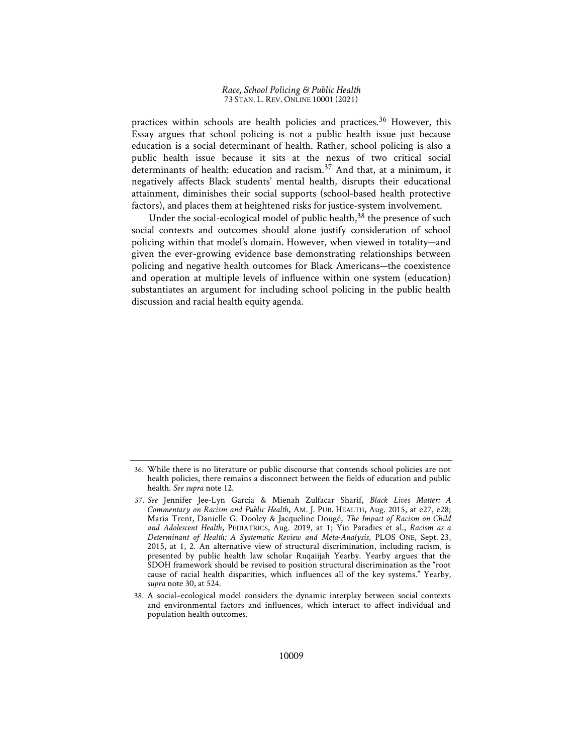practices within schools are health policies and practices.<sup>36</sup> However, this Essay argues that school policing is not a public health issue just because education is a social determinant of health. Rather, school policing is also a public health issue because it sits at the nexus of two critical social determinants of health: education and racism.<sup>37</sup> And that, at a minimum, it negatively affects Black students' mental health, disrupts their educational attainment, diminishes their social supports (school-based health protective factors), and places them at heightened risks for justice-system involvement.

Under the social-ecological model of public health, $38$  the presence of such social contexts and outcomes should alone justify consideration of school policing within that model's domain. However, when viewed in totality—and given the ever-growing evidence base demonstrating relationships between policing and negative health outcomes for Black Americans—the coexistence and operation at multiple levels of influence within one system (education) substantiates an argument for including school policing in the public health discussion and racial health equity agenda.

<sup>36</sup>. While there is no literature or public discourse that contends school policies are not health policies, there remains a disconnect between the fields of education and public health. See supra note 12.

<sup>37</sup>. See Jennifer Jee-Lyn García & Mienah Zulfacar Sharif, Black Lives Matter: A Commentary on Racism and Public Health, AM. J. PUB. HEALTH, Aug. 2015, at e27, e28; Maria Trent, Danielle G. Dooley & Jacqueline Dougé, The Impact of Racism on Child and Adolescent Health, PEDIATRICS, Aug. 2019, at 1; Yin Paradies et al., Racism as a Determinant of Health: A Systematic Review and Meta-Analysis, PLOS ONE, Sept. 23, 2015, at 1, 2. An alternative view of structural discrimination, including racism, is presented by public health law scholar Ruqaiijah Yearby. Yearby argues that the SDOH framework should be revised to position structural discrimination as the "root cause of racial health disparities, which influences all of the key systems." Yearby, supra note 30, at 524.

<sup>38</sup>. A social–ecological model considers the dynamic interplay between social contexts and environmental factors and influences, which interact to affect individual and population health outcomes.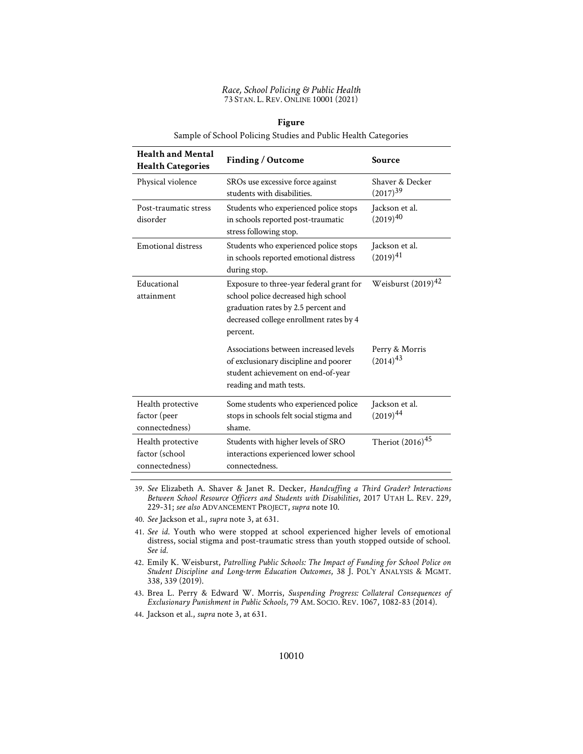| <b>Health and Mental</b><br><b>Health Categories</b>  | Finding / Outcome                                                                                                                                                             | Source                           |
|-------------------------------------------------------|-------------------------------------------------------------------------------------------------------------------------------------------------------------------------------|----------------------------------|
| Physical violence                                     | SROs use excessive force against<br>students with disabilities.                                                                                                               | Shaver & Decker<br>$(2017)^{39}$ |
| Post-traumatic stress<br>disorder                     | Students who experienced police stops<br>in schools reported post-traumatic<br>stress following stop.                                                                         | Jackson et al.<br>$(2019)^{40}$  |
| Emotional distress                                    | Students who experienced police stops<br>in schools reported emotional distress<br>during stop.                                                                               | Jackson et al.<br>$(2019)^{41}$  |
| Educational<br>attainment                             | Exposure to three-year federal grant for<br>school police decreased high school<br>graduation rates by 2.5 percent and<br>decreased college enrollment rates by 4<br>percent. | Weisburst $(2019)^{42}$          |
|                                                       | Associations between increased levels<br>of exclusionary discipline and poorer<br>student achievement on end-of-year<br>reading and math tests.                               | Perry & Morris<br>$(2014)^{43}$  |
| Health protective<br>factor (peer<br>connectedness)   | Some students who experienced police<br>stops in schools felt social stigma and<br>shame.                                                                                     | Jackson et al.<br>$(2019)^{44}$  |
| Health protective<br>factor (school<br>connectedness) | Students with higher levels of SRO<br>interactions experienced lower school<br>connectedness.                                                                                 | Theriot $(2016)^{45}$            |

## Figure

Sample of School Policing Studies and Public Health Categories

39. See Elizabeth A. Shaver & Janet R. Decker, Handcuffing a Third Grader? Interactions Between School Resource Officers and Students with Disabilities, 2017 UTAH L. REV. 229, 229-31; see also ADVANCEMENT PROJECT, supra note 10.

40. See Jackson et al., supra note 3, at 631.

41. See id. Youth who were stopped at school experienced higher levels of emotional distress, social stigma and post-traumatic stress than youth stopped outside of school. See id.

42. Emily K. Weisburst, Patrolling Public Schools: The Impact of Funding for School Police on Student Discipline and Long-term Education Outcomes, 38 J. POL'Y ANALYSIS & MGMT. 338, 339 (2019).

43. Brea L. Perry & Edward W. Morris, Suspending Progress: Collateral Consequences of Exclusionary Punishment in Public Schools, 79 AM. SOCIO. REV. 1067, 1082-83 (2014).

44. Jackson et al., supra note 3, at 631.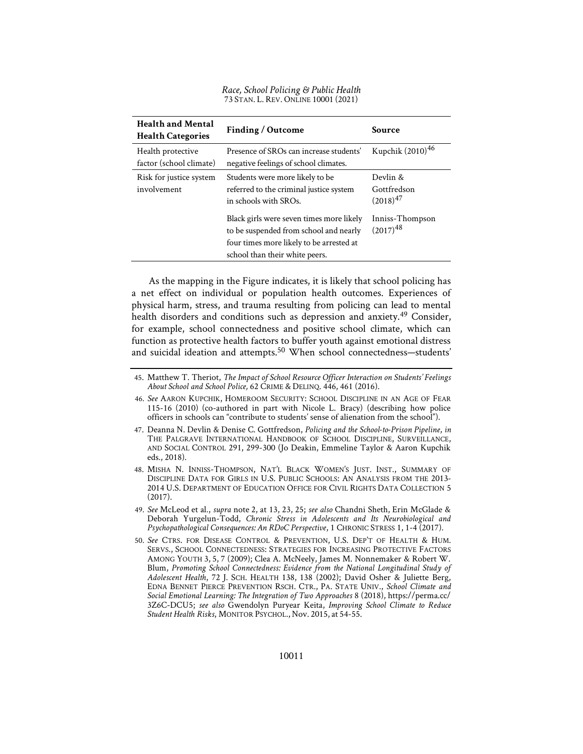Race, School Policing & Public Health 73 STAN. L. REV. ONLINE 10001 (2021)

| <b>Health and Mental</b><br><b>Health Categories</b> | Finding / Outcome                                                                                                                                                | Source                                   |
|------------------------------------------------------|------------------------------------------------------------------------------------------------------------------------------------------------------------------|------------------------------------------|
| Health protective<br>factor (school climate)         | Presence of SROs can increase students'<br>negative feelings of school climates.                                                                                 | Kupchik (2010) <sup>46</sup>             |
| Risk for justice system<br>involvement               | Students were more likely to be<br>referred to the criminal justice system<br>in schools with SROs.                                                              | Devlin &<br>Gottfredson<br>$(2018)^{47}$ |
|                                                      | Black girls were seven times more likely<br>to be suspended from school and nearly<br>four times more likely to be arrested at<br>school than their white peers. | Inniss-Thompson<br>$(2017)^{48}$         |

As the mapping in the Figure indicates, it is likely that school policing has a net effect on individual or population health outcomes. Experiences of physical harm, stress, and trauma resulting from policing can lead to mental health disorders and conditions such as depression and anxiety.<sup>49</sup> Consider, for example, school connectedness and positive school climate, which can function as protective health factors to buffer youth against emotional distress and suicidal ideation and attempts.<sup>50</sup> When school connectedness-students'

- 46. See AARON KUPCHIK, HOMEROOM SECURITY: SCHOOL DISCIPLINE IN AN AGE OF FEAR 115-16 (2010) (co-authored in part with Nicole L. Bracy) (describing how police officers in schools can "contribute to students' sense of alienation from the school").
- 47. Deanna N. Devlin & Denise C. Gottfredson, Policing and the School-to-Prison Pipeline, in THE PALGRAVE INTERNATIONAL HANDBOOK OF SCHOOL DISCIPLINE, SURVEILLANCE, AND SOCIAL CONTROL 291, 299-300 (Jo Deakin, Emmeline Taylor & Aaron Kupchik eds., 2018).
- 48. MISHA N. INNISS-THOMPSON, NAT'L BLACK WOMEN'S JUST. INST., SUMMARY OF DISCIPLINE DATA FOR GIRLS IN U.S. PUBLIC SCHOOLS: AN ANALYSIS FROM THE 2013- 2014 U.S. DEPARTMENT OF EDUCATION OFFICE FOR CIVIL RIGHTS DATA COLLECTION 5 (2017).
- 49. See McLeod et al., supra note 2, at 13, 23, 25; see also Chandni Sheth, Erin McGlade & Deborah Yurgelun-Todd, Chronic Stress in Adolescents and Its Neurobiological and Psychopathological Consequences: An RDoC Perspective, 1 CHRONIC STRESS 1, 1-4 (2017).
- 50. See CTRS. FOR DISEASE CONTROL & PREVENTION, U.S. DEP'T OF HEALTH & HUM. SERVS., SCHOOL CONNECTEDNESS: STRATEGIES FOR INCREASING PROTECTIVE FACTORS AMONG YOUTH 3, 5, 7 (2009); Clea A. McNeely, James M. Nonnemaker & Robert W. Blum, Promoting School Connectedness: Evidence from the National Longitudinal Study of Adolescent Health, 72 J. SCH. HEALTH 138, 138 (2002); David Osher & Juliette Berg, EDNA BENNET PIERCE PREVENTION RSCH. CTR., PA. STATE UNIV., School Climate and Social Emotional Learning: The Integration of Two Approaches 8 (2018), https://perma.cc/ 3Z6C-DCU5; see also Gwendolyn Puryear Keita, Improving School Climate to Reduce Student Health Risks, MONITOR PSYCHOL., Nov. 2015, at 54-55.

<sup>45</sup>. Matthew T. Theriot, The Impact of School Resource Officer Interaction on Students' Feelings About School and School Police, 62 CRIME & DELINQ. 446, 461 (2016).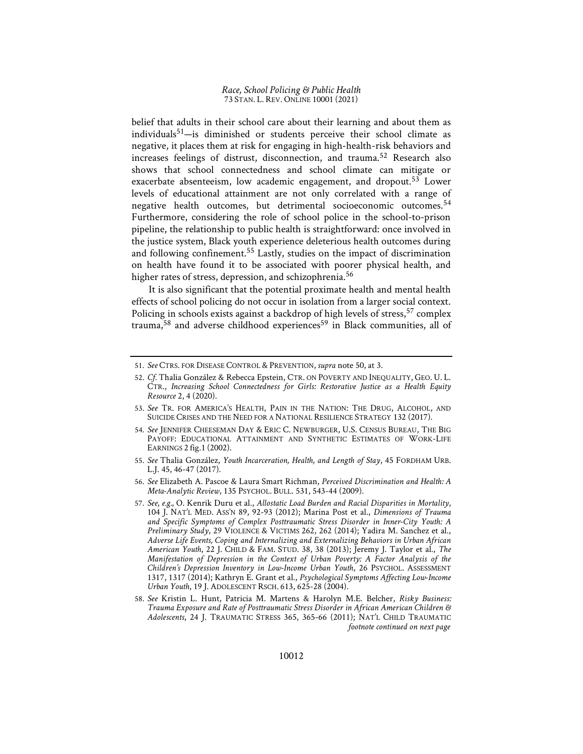belief that adults in their school care about their learning and about them as individuals<sup>51</sup>—is diminished or students perceive their school climate as negative, it places them at risk for engaging in high-health-risk behaviors and increases feelings of distrust, disconnection, and trauma.52 Research also shows that school connectedness and school climate can mitigate or exacerbate absenteeism, low academic engagement, and dropout.<sup>53</sup> Lower levels of educational attainment are not only correlated with a range of negative health outcomes, but detrimental socioeconomic outcomes.<sup>54</sup> Furthermore, considering the role of school police in the school-to-prison pipeline, the relationship to public health is straightforward: once involved in the justice system, Black youth experience deleterious health outcomes during and following confinement.55 Lastly, studies on the impact of discrimination on health have found it to be associated with poorer physical health, and higher rates of stress, depression, and schizophrenia.<sup>56</sup>

It is also significant that the potential proximate health and mental health effects of school policing do not occur in isolation from a larger social context. Policing in schools exists against a backdrop of high levels of stress,<sup>57</sup> complex trauma,<sup>58</sup> and adverse childhood experiences<sup>59</sup> in Black communities, all of

- 55. See Thalia González, Youth Incarceration, Health, and Length of Stay, 45 FORDHAM URB. L.J. 45, 46-47 (2017).
- 56. See Elizabeth A. Pascoe & Laura Smart Richman, Perceived Discrimination and Health: A Meta-Analytic Review, 135 PSYCHOL. BULL. 531, 543-44 (2009).
- 57. See, e.g., O. Kenrik Duru et al., Allostatic Load Burden and Racial Disparities in Mortality, 104 J. NAT'L MED. ASS'N 89, 92-93 (2012); Marina Post et al., Dimensions of Trauma and Specific Symptoms of Complex Posttraumatic Stress Disorder in Inner-City Youth: A Preliminary Study, 29 VIOLENCE & VICTIMS 262, 262 (2014); Yadira M. Sanchez et al., Adverse Life Events, Coping and Internalizing and Externalizing Behaviors in Urban African American Youth, 22 J. CHILD & FAM. STUD. 38, 38 (2013); Jeremy J. Taylor et al., The Manifestation of Depression in the Context of Urban Poverty: A Factor Analysis of the Children's Depression Inventory in Low-Income Urban Youth, 26 PSYCHOL. ASSESSMENT 1317, 1317 (2014); Kathryn E. Grant et al., Psychological Symptoms Affecting Low-Income Urban Youth, 19 J. ADOLESCENT RSCH. 613, 625-28 (2004).
- 58. See Kristin L. Hunt, Patricia M. Martens & Harolyn M.E. Belcher, Risky Business: Trauma Exposure and Rate of Posttraumatic Stress Disorder in African American Children & Adolescents, 24 J. TRAUMATIC STRESS 365, 365-66 (2011); NAT'L CHILD TRAUMATIC footnote continued on next page

<sup>51</sup>. See CTRS. FOR DISEASE CONTROL & PREVENTION, supra note 50, at 3.

<sup>52</sup>. Cf. Thalia González & Rebecca Epstein, CTR. ON POVERTY AND INEQUALITY, GEO. U. L. CTR., Increasing School Connectedness for Girls: Restorative Justice as a Health Equity Resource 2, 4 (2020).

<sup>53</sup>. See TR. FOR AMERICA'S HEALTH, PAIN IN THE NATION: THE DRUG, ALCOHOL, AND SUICIDE CRISES AND THE NEED FOR A NATIONAL RESILIENCE STRATEGY 132 (2017).

<sup>54</sup>. See JENNIFER CHEESEMAN DAY & ERIC C. NEWBURGER, U.S. CENSUS BUREAU, THE BIG PAYOFF: EDUCATIONAL ATTAINMENT AND SYNTHETIC ESTIMATES OF WORK-LIFE EARNINGS 2 fig.1 (2002).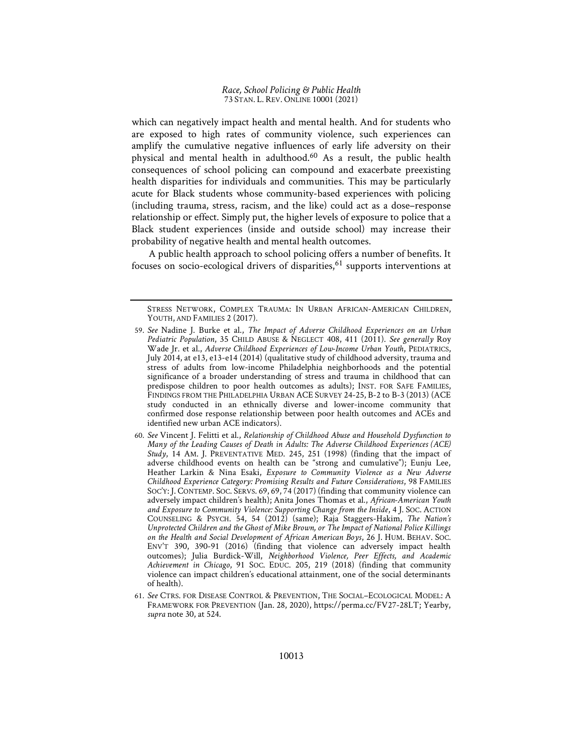which can negatively impact health and mental health. And for students who are exposed to high rates of community violence, such experiences can amplify the cumulative negative influences of early life adversity on their physical and mental health in adulthood.60 As a result, the public health consequences of school policing can compound and exacerbate preexisting health disparities for individuals and communities. This may be particularly acute for Black students whose community-based experiences with policing (including trauma, stress, racism, and the like) could act as a dose–response relationship or effect. Simply put, the higher levels of exposure to police that a Black student experiences (inside and outside school) may increase their probability of negative health and mental health outcomes.

A public health approach to school policing offers a number of benefits. It focuses on socio-ecological drivers of disparities,  $61$  supports interventions at

STRESS NETWORK, COMPLEX TRAUMA: IN URBAN AFRICAN-AMERICAN CHILDREN, YOUTH, AND FAMILIES 2 (2017).

<sup>59</sup>. See Nadine J. Burke et al., The Impact of Adverse Childhood Experiences on an Urban Pediatric Population, 35 CHILD ABUSE & NEGLECT 408, 411 (2011). See generally Roy Wade Jr. et al., Adverse Childhood Experiences of Low-Income Urban Youth, PEDIATRICS, July 2014, at e13, e13-e14 (2014) (qualitative study of childhood adversity, trauma and stress of adults from low-income Philadelphia neighborhoods and the potential significance of a broader understanding of stress and trauma in childhood that can predispose children to poor health outcomes as adults); INST. FOR SAFE FAMILIES, FINDINGS FROM THE PHILADELPHIA URBAN ACE SURVEY 24-25, B-2 to B-3 (2013) (ACE study conducted in an ethnically diverse and lower-income community that confirmed dose response relationship between poor health outcomes and ACEs and identified new urban ACE indicators).

<sup>60</sup>. See Vincent J. Felitti et al., Relationship of Childhood Abuse and Household Dysfunction to Many of the Leading Causes of Death in Adults: The Adverse Childhood Experiences (ACE) Study, 14 AM. J. PREVENTATIVE MED. 245, 251 (1998) (finding that the impact of adverse childhood events on health can be "strong and cumulative"); Eunju Lee, Heather Larkin & Nina Esaki, Exposure to Community Violence as a New Adverse Childhood Experience Category: Promising Results and Future Considerations, 98 FAMILIES SOC'Y: J. CONTEMP. SOC. SERVS. 69, 69, 74 (2017) (finding that community violence can adversely impact children's health); Anita Jones Thomas et al., African-American Youth and Exposure to Community Violence: Supporting Change from the Inside, 4 J. SOC. ACTION COUNSELING & PSYCH. 54, 54 (2012) (same); Raja Staggers-Hakim, The Nation's Unprotected Children and the Ghost of Mike Brown, or The Impact of National Police Killings on the Health and Social Development of African American Boys, 26 J. HUM. BEHAV. SOC. ENV'T 390, 390-91 (2016) (finding that violence can adversely impact health outcomes); Julia Burdick-Will, Neighborhood Violence, Peer Effects, and Academic Achievement in Chicago, 91 SOC. EDUC. 205, 219 (2018) (finding that community violence can impact children's educational attainment, one of the social determinants of health).

<sup>61</sup>. See CTRS. FOR DISEASE CONTROL & PREVENTION, THE SOCIAL–ECOLOGICAL MODEL: A FRAMEWORK FOR PREVENTION (Jan. 28, 2020), https://perma.cc/FV27-28LT; Yearby, supra note 30, at 524.